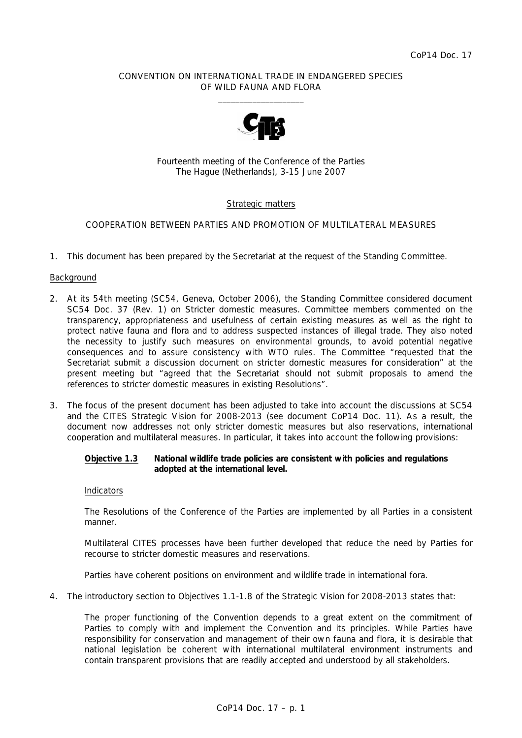## CONVENTION ON INTERNATIONAL TRADE IN ENDANGERED SPECIES OF WILD FAUNA AND FLORA  $\frac{1}{2}$  , and the set of the set of the set of the set of the set of the set of the set of the set of the set of the set of the set of the set of the set of the set of the set of the set of the set of the set of the set



Fourteenth meeting of the Conference of the Parties The Hague (Netherlands), 3-15 June 2007

# Strategic matters

## COOPERATION BETWEEN PARTIES AND PROMOTION OF MULTILATERAL MEASURES

1. This document has been prepared by the Secretariat at the request of the Standing Committee.

#### Background

- 2. At its 54th meeting (SC54, Geneva, October 2006), the Standing Committee considered document SC54 Doc. 37 (Rev. 1) on Stricter domestic measures. Committee members commented on the transparency, appropriateness and usefulness of certain existing measures as well as the right to protect native fauna and flora and to address suspected instances of illegal trade. They also noted the necessity to justify such measures on environmental grounds, to avoid potential negative consequences and to assure consistency with WTO rules. The Committee "requested that the Secretariat submit a discussion document on stricter domestic measures for consideration" at the present meeting but "agreed that the Secretariat should not submit proposals to amend the references to stricter domestic measures in existing Resolutions".
- 3. The focus of the present document has been adjusted to take into account the discussions at SC54 and the CITES Strategic Vision for 2008-2013 (see document CoP14 Doc. 11). As a result, the document now addresses not only stricter domestic measures but also reservations, international cooperation and multilateral measures. In particular, it takes into account the following provisions:

## *Objective 1.3 National wildlife trade policies are consistent with policies and regulations adopted at the international level.*

#### *Indicators*

*The Resolutions of the Conference of the Parties are implemented by all Parties in a consistent manner.* 

*Multilateral CITES processes have been further developed that reduce the need by Parties for recourse to stricter domestic measures and reservations.* 

*Parties have coherent positions on environment and wildlife trade in international fora.*

4. The introductory section to Objectives 1.1-1.8 of the Strategic Vision for 2008-2013 states that:

 *The proper functioning of the Convention depends to a great extent on the commitment of*  Parties to comply with and implement the Convention and its principles. While Parties have *responsibility for conservation and management of their own fauna and flora, it is desirable that national legislation be coherent with international multilateral environment instruments and contain transparent provisions that are readily accepted and understood by all stakeholders.*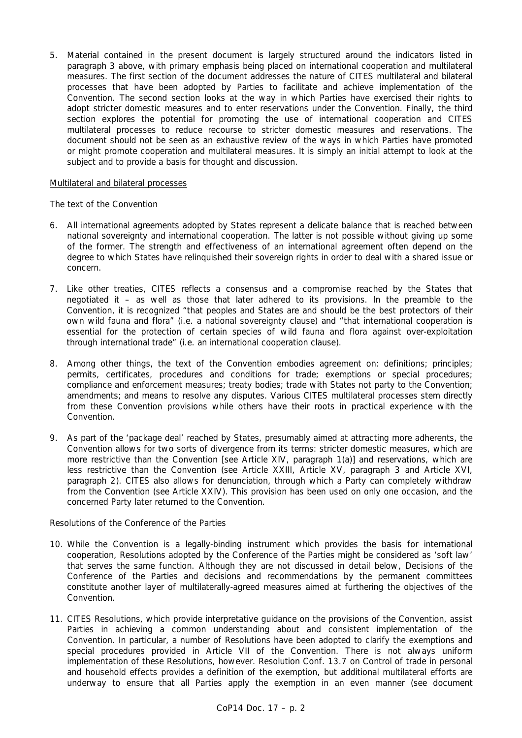5. Material contained in the present document is largely structured around the indicators listed in paragraph 3 above, with primary emphasis being placed on international cooperation and multilateral measures. The first section of the document addresses the nature of CITES multilateral and bilateral processes that have been adopted by Parties to facilitate and achieve implementation of the Convention. The second section looks at the way in which Parties have exercised their rights to adopt stricter domestic measures and to enter reservations under the Convention. Finally, the third section explores the potential for promoting the use of international cooperation and CITES multilateral processes to reduce recourse to stricter domestic measures and reservations. The document should not be seen as an exhaustive review of the ways in which Parties have promoted or might promote cooperation and multilateral measures. It is simply an initial attempt to look at the subject and to provide a basis for thought and discussion.

#### Multilateral and bilateral processes

## *The text of the Convention*

- 6. All international agreements adopted by States represent a delicate balance that is reached between national sovereignty and international cooperation. The latter is not possible without giving up some of the former. The strength and effectiveness of an international agreement often depend on the degree to which States have relinquished their sovereign rights in order to deal with a shared issue or concern.
- 7. Like other treaties, CITES reflects a consensus and a compromise reached by the States that negotiated it – as well as those that later adhered to its provisions. In the preamble to the Convention, it is recognized "that peoples and States are and should be the best protectors of their own wild fauna and flora" (i.e. a national sovereignty clause) and "that international cooperation is essential for the protection of certain species of wild fauna and flora against over-exploitation through international trade" (i.e. an international cooperation clause).
- 8. Among other things, the text of the Convention embodies agreement on: definitions; principles; permits, certificates, procedures and conditions for trade; exemptions or special procedures; compliance and enforcement measures; treaty bodies; trade with States not party to the Convention; amendments; and means to resolve any disputes. Various CITES multilateral processes stem directly from these Convention provisions while others have their roots in practical experience with the Convention.
- 9. As part of the 'package deal' reached by States, presumably aimed at attracting more adherents, the Convention allows for two sorts of divergence from its terms: stricter domestic measures, which are more restrictive than the Convention [see Article XIV, paragraph 1(a)] and reservations, which are less restrictive than the Convention (see Article XXIII, Article XV, paragraph 3 and Article XVI, paragraph 2). CITES also allows for denunciation, through which a Party can completely withdraw from the Convention (see Article XXIV). This provision has been used on only one occasion, and the concerned Party later returned to the Convention.

# *Resolutions of the Conference of the Parties*

- 10. While the Convention is a legally-binding instrument which provides the basis for international cooperation, Resolutions adopted by the Conference of the Parties might be considered as 'soft law' that serves the same function. Although they are not discussed in detail below, Decisions of the Conference of the Parties and decisions and recommendations by the permanent committees constitute another layer of multilaterally-agreed measures aimed at furthering the objectives of the Convention.
- 11. CITES Resolutions, which provide interpretative guidance on the provisions of the Convention, assist Parties in achieving a common understanding about and consistent implementation of the Convention. In particular, a number of Resolutions have been adopted to clarify the exemptions and special procedures provided in Article VII of the Convention. There is not always uniform implementation of these Resolutions, however. Resolution Conf. 13.7 on Control of trade in personal and household effects provides a definition of the exemption, but additional multilateral efforts are underway to ensure that all Parties apply the exemption in an even manner (see document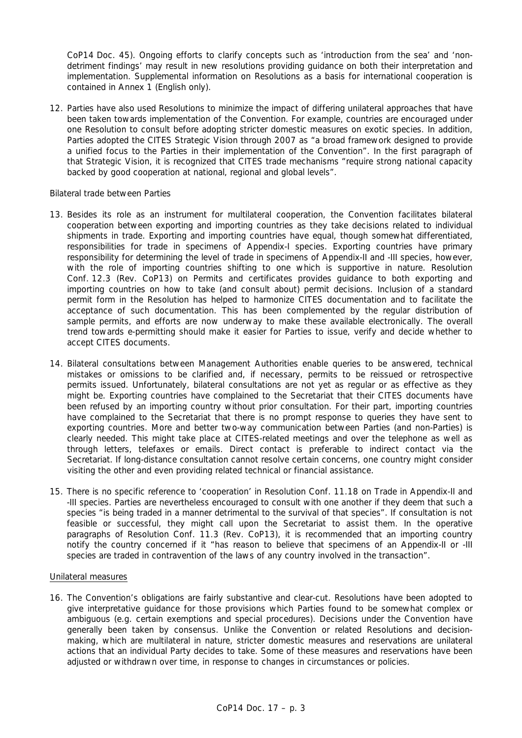CoP14 Doc. 45). Ongoing efforts to clarify concepts such as 'introduction from the sea' and 'nondetriment findings' may result in new resolutions providing guidance on both their interpretation and implementation. Supplemental information on Resolutions as a basis for international cooperation is contained in Annex 1 (English only).

12. Parties have also used Resolutions to minimize the impact of differing unilateral approaches that have been taken towards implementation of the Convention. For example, countries are encouraged under one Resolution to consult before adopting stricter domestic measures on exotic species. In addition, Parties adopted the CITES Strategic Vision through 2007 as "a broad framework designed to provide a unified focus to the Parties in their implementation of the Convention". In the first paragraph of that Strategic Vision, it is recognized that CITES trade mechanisms "require strong national capacity backed by good cooperation at national, regional and global levels".

## *Bilateral trade between Parties*

- 13. Besides its role as an instrument for multilateral cooperation, the Convention facilitates bilateral cooperation between exporting and importing countries as they take decisions related to individual shipments in trade. Exporting and importing countries have equal, though somewhat differentiated, responsibilities for trade in specimens of Appendix-I species. Exporting countries have primary responsibility for determining the level of trade in specimens of Appendix-II and -III species, however, with the role of importing countries shifting to one which is supportive in nature. Resolution Conf. 12.3 (Rev. CoP13) on Permits and certificates provides guidance to both exporting and importing countries on how to take (and consult about) permit decisions. Inclusion of a standard permit form in the Resolution has helped to harmonize CITES documentation and to facilitate the acceptance of such documentation. This has been complemented by the regular distribution of sample permits, and efforts are now underway to make these available electronically. The overall trend towards e-permitting should make it easier for Parties to issue, verify and decide whether to accept CITES documents.
- 14. Bilateral consultations between Management Authorities enable queries to be answered, technical mistakes or omissions to be clarified and, if necessary, permits to be reissued or retrospective permits issued. Unfortunately, bilateral consultations are not yet as regular or as effective as they might be. Exporting countries have complained to the Secretariat that their CITES documents have been refused by an importing country without prior consultation. For their part, importing countries have complained to the Secretariat that there is no prompt response to queries they have sent to exporting countries. More and better two-way communication between Parties (and non-Parties) is clearly needed. This might take place at CITES-related meetings and over the telephone as well as through letters, telefaxes or emails. Direct contact is preferable to indirect contact via the Secretariat. If long-distance consultation cannot resolve certain concerns, one country might consider visiting the other and even providing related technical or financial assistance.
- 15. There is no specific reference to 'cooperation' in Resolution Conf. 11.18 on Trade in Appendix-II and -III species. Parties are nevertheless encouraged to consult with one another if they deem that such a species "is being traded in a manner detrimental to the survival of that species". If consultation is not feasible or successful, they might call upon the Secretariat to assist them. In the operative paragraphs of Resolution Conf. 11.3 (Rev. CoP13), it is recommended that an importing country notify the country concerned if it "has reason to believe that specimens of an Appendix-II or -III species are traded in contravention of the laws of any country involved in the transaction".

#### Unilateral measures

16. The Convention's obligations are fairly substantive and clear-cut. Resolutions have been adopted to give interpretative guidance for those provisions which Parties found to be somewhat complex or ambiguous (e.g. certain exemptions and special procedures). Decisions under the Convention have generally been taken by consensus. Unlike the Convention or related Resolutions and decisionmaking, which are multilateral in nature, stricter domestic measures and reservations are unilateral actions that an individual Party decides to take. Some of these measures and reservations have been adjusted or withdrawn over time, in response to changes in circumstances or policies.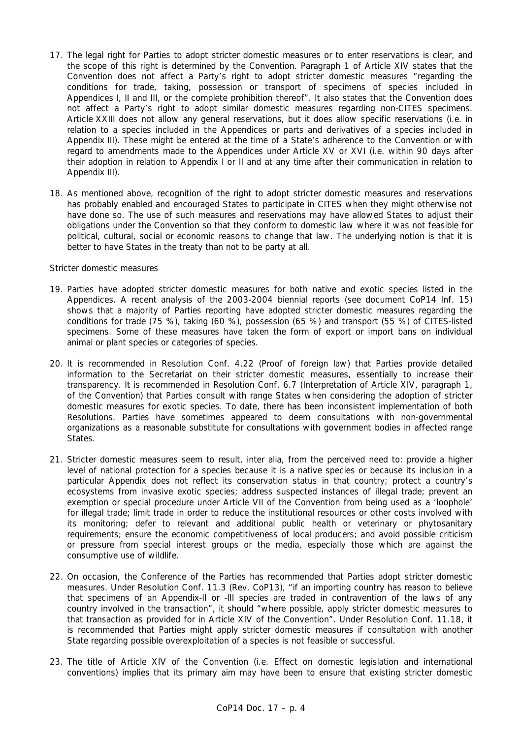- 17. The legal right for Parties to adopt stricter domestic measures or to enter reservations is clear, and the scope of this right is determined by the Convention. Paragraph 1 of Article XIV states that the Convention does not affect a Party's right to adopt stricter domestic measures "regarding the conditions for trade, taking, possession or transport of specimens of species included in Appendices I, II and III, or the complete prohibition thereof". It also states that the Convention does not affect a Party's right to adopt similar domestic measures regarding non-CITES specimens. Article XXIII does not allow any general reservations, but it does allow specific reservations (i.e. in relation to a species included in the Appendices or parts and derivatives of a species included in Appendix III). These might be entered at the time of a State's adherence to the Convention or with regard to amendments made to the Appendices under Article XV or XVI (i.e. within 90 days after their adoption in relation to Appendix I or II and at any time after their communication in relation to Appendix III).
- 18. As mentioned above, recognition of the right to adopt stricter domestic measures and reservations has probably enabled and encouraged States to participate in CITES when they might otherwise not have done so. The use of such measures and reservations may have allowed States to adjust their obligations under the Convention so that they conform to domestic law where it was not feasible for political, cultural, social or economic reasons to change that law. The underlying notion is that it is better to have States in the treaty than not to be party at all.

#### *Stricter domestic measures*

- 19. Parties have adopted stricter domestic measures for both native and exotic species listed in the Appendices. A recent analysis of the 2003-2004 biennial reports (see document CoP14 Inf. 15) shows that a majority of Parties reporting have adopted stricter domestic measures regarding the conditions for trade (75 %), taking (60 %), possession (65 %) and transport (55 %) of CITES-listed specimens. Some of these measures have taken the form of export or import bans on individual animal or plant species or categories of species.
- 20. It is recommended in Resolution Conf. 4.22 (Proof of foreign law) that Parties provide detailed information to the Secretariat on their stricter domestic measures, essentially to increase their transparency. It is recommended in Resolution Conf. 6.7 (Interpretation of Article XIV, paragraph 1, of the Convention) that Parties consult with range States when considering the adoption of stricter domestic measures for exotic species. To date, there has been inconsistent implementation of both Resolutions. Parties have sometimes appeared to deem consultations with non-governmental organizations as a reasonable substitute for consultations with government bodies in affected range **States**
- 21. Stricter domestic measures seem to result, *inter alia*, from the perceived need to: provide a higher level of national protection for a species because it is a native species or because its inclusion in a particular Appendix does not reflect its conservation status in that country; protect a country's ecosystems from invasive exotic species; address suspected instances of illegal trade; prevent an exemption or special procedure under Article VII of the Convention from being used as a 'loophole' for illegal trade; limit trade in order to reduce the institutional resources or other costs involved with its monitoring; defer to relevant and additional public health or veterinary or phytosanitary requirements; ensure the economic competitiveness of local producers; and avoid possible criticism or pressure from special interest groups or the media, especially those which are against the consumptive use of wildlife.
- 22. On occasion, the Conference of the Parties has recommended that Parties adopt stricter domestic measures. Under Resolution Conf. 11.3 (Rev. CoP13), "if an importing country has reason to believe that specimens of an Appendix-II or -III species are traded in contravention of the laws of any country involved in the transaction", it should "where possible, apply stricter domestic measures to that transaction as provided for in Article XIV of the Convention". Under Resolution Conf. 11.18, it is recommended that Parties might apply stricter domestic measures if consultation with another State regarding possible overexploitation of a species is not feasible or successful.
- 23. The title of Article XIV of the Convention (i.e. Effect on domestic legislation and international conventions) implies that its primary aim may have been to ensure that existing stricter domestic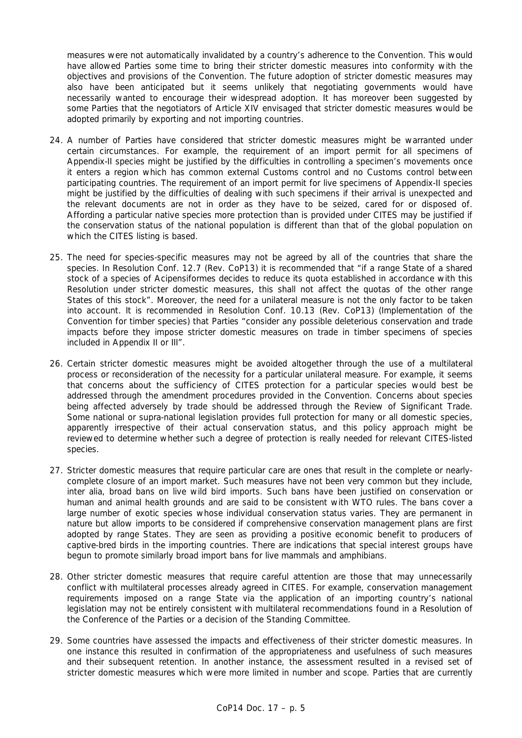measures were not automatically invalidated by a country's adherence to the Convention. This would have allowed Parties some time to bring their stricter domestic measures into conformity with the objectives and provisions of the Convention. The future adoption of stricter domestic measures may also have been anticipated but it seems unlikely that negotiating governments would have necessarily wanted to encourage their widespread adoption. It has moreover been suggested by some Parties that the negotiators of Article XIV envisaged that stricter domestic measures would be adopted primarily by exporting and not importing countries.

- 24. A number of Parties have considered that stricter domestic measures might be warranted under certain circumstances. For example, the requirement of an import permit for all specimens of Appendix-II species might be justified by the difficulties in controlling a specimen's movements once it enters a region which has common external Customs control and no Customs control between participating countries. The requirement of an import permit for live specimens of Appendix-II species might be justified by the difficulties of dealing with such specimens if their arrival is unexpected and the relevant documents are not in order as they have to be seized, cared for or disposed of. Affording a particular native species more protection than is provided under CITES may be justified if the conservation status of the national population is different than that of the global population on which the CITES listing is based.
- 25. The need for species-specific measures may not be agreed by all of the countries that share the species. In Resolution Conf. 12.7 (Rev. CoP13) it is recommended that "if a range State of a shared stock of a species of Acipensiformes decides to reduce its quota established in accordance with this Resolution under stricter domestic measures, this shall not affect the quotas of the other range States of this stock". Moreover, the need for a unilateral measure is not the only factor to be taken into account. It is recommended in Resolution Conf. 10.13 (Rev. CoP13) (Implementation of the Convention for timber species) that Parties "consider any possible deleterious conservation and trade impacts before they impose stricter domestic measures on trade in timber specimens of species included in Appendix II or III".
- 26. Certain stricter domestic measures might be avoided altogether through the use of a multilateral process or reconsideration of the necessity for a particular unilateral measure. For example, it seems that concerns about the sufficiency of CITES protection for a particular species would best be addressed through the amendment procedures provided in the Convention. Concerns about species being affected adversely by trade should be addressed through the Review of Significant Trade. Some national or supra-national legislation provides full protection for many or all domestic species, apparently irrespective of their actual conservation status, and this policy approach might be reviewed to determine whether such a degree of protection is really needed for relevant CITES-listed species.
- 27. Stricter domestic measures that require particular care are ones that result in the complete or nearlycomplete closure of an import market. Such measures have not been very common but they include, *inter alia*, broad bans on live wild bird imports. Such bans have been justified on conservation or human and animal health grounds and are said to be consistent with WTO rules. The bans cover a large number of exotic species whose individual conservation status varies. They are permanent in nature but allow imports to be considered if comprehensive conservation management plans are first adopted by range States. They are seen as providing a positive economic benefit to producers of captive-bred birds in the importing countries. There are indications that special interest groups have begun to promote similarly broad import bans for live mammals and amphibians.
- 28. Other stricter domestic measures that require careful attention are those that may unnecessarily conflict with multilateral processes already agreed in CITES. For example, conservation management requirements imposed on a range State via the application of an importing country's national legislation may not be entirely consistent with multilateral recommendations found in a Resolution of the Conference of the Parties or a decision of the Standing Committee.
- 29. Some countries have assessed the impacts and effectiveness of their stricter domestic measures. In one instance this resulted in confirmation of the appropriateness and usefulness of such measures and their subsequent retention. In another instance, the assessment resulted in a revised set of stricter domestic measures which were more limited in number and scope. Parties that are currently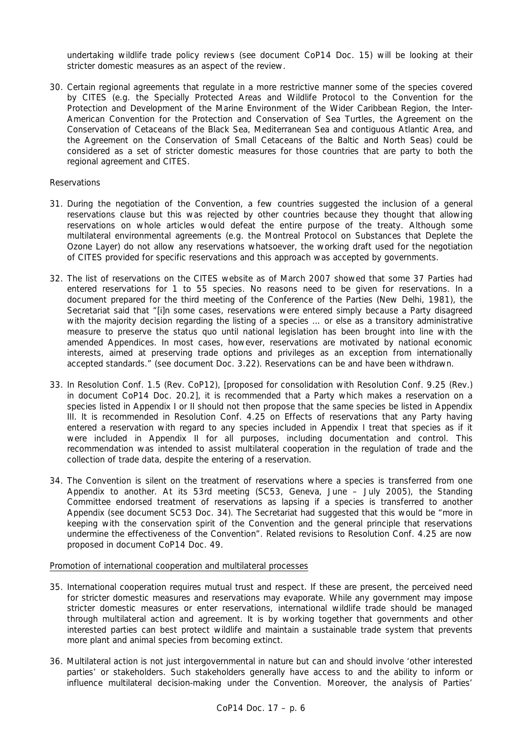undertaking wildlife trade policy reviews (see document CoP14 Doc. 15) will be looking at their stricter domestic measures as an aspect of the review.

30. Certain regional agreements that regulate in a more restrictive manner some of the species covered by CITES (e.g. the Specially Protected Areas and Wildlife Protocol to the Convention for the Protection and Development of the Marine Environment of the Wider Caribbean Region, the Inter-American Convention for the Protection and Conservation of Sea Turtles, the Agreement on the Conservation of Cetaceans of the Black Sea, Mediterranean Sea and contiguous Atlantic Area, and the Agreement on the Conservation of Small Cetaceans of the Baltic and North Seas) could be considered as a set of stricter domestic measures for those countries that are party to both the regional agreement and CITES.

## *Reservations*

- 31. During the negotiation of the Convention, a few countries suggested the inclusion of a general reservations clause but this was rejected by other countries because they thought that allowing reservations on whole articles would defeat the entire purpose of the treaty. Although some multilateral environmental agreements (e.g. the Montreal Protocol on Substances that Deplete the Ozone Layer) do not allow any reservations whatsoever, the working draft used for the negotiation of CITES provided for specific reservations and this approach was accepted by governments.
- 32. The list of reservations on the CITES website as of March 2007 showed that some 37 Parties had entered reservations for 1 to 55 species. No reasons need to be given for reservations. In a document prepared for the third meeting of the Conference of the Parties (New Delhi, 1981), the Secretariat said that "[i]n some cases, reservations were entered simply because a Party disagreed with the majority decision regarding the listing of a species ... or else as a transitory administrative measure to preserve the *status quo* until national legislation has been brought into line with the amended Appendices. In most cases, however, reservations are motivated by national economic interests, aimed at preserving trade options and privileges as an exception from internationally accepted standards." (see document Doc. 3.22). Reservations can be and have been withdrawn.
- 33. In Resolution Conf. 1.5 (Rev. CoP12), [proposed for consolidation with Resolution Conf. 9.25 (Rev.) in document CoP14 Doc. 20.2], it is recommended that a Party which makes a reservation on a species listed in Appendix I or II should not then propose that the same species be listed in Appendix III. It is recommended in Resolution Conf. 4.25 on Effects of reservations that any Party having entered a reservation with regard to any species included in Appendix I treat that species as if it were included in Appendix II for all purposes, including documentation and control. This recommendation was intended to assist multilateral cooperation in the regulation of trade and the collection of trade data, despite the entering of a reservation.
- 34. The Convention is silent on the treatment of reservations where a species is transferred from one Appendix to another. At its 53rd meeting (SC53, Geneva, June – July 2005), the Standing Committee endorsed treatment of reservations as lapsing if a species is transferred to another Appendix (see document SC53 Doc. 34). The Secretariat had suggested that this would be "more in keeping with the conservation spirit of the Convention and the general principle that reservations undermine the effectiveness of the Convention". Related revisions to Resolution Conf. 4.25 are now proposed in document CoP14 Doc. 49.

#### Promotion of international cooperation and multilateral processes

- 35. International cooperation requires mutual trust and respect. If these are present, the perceived need for stricter domestic measures and reservations may evaporate. While any government may impose stricter domestic measures or enter reservations, international wildlife trade should be managed through multilateral action and agreement. It is by working together that governments and other interested parties can best protect wildlife and maintain a sustainable trade system that prevents more plant and animal species from becoming extinct.
- 36. Multilateral action is not just intergovernmental in nature but can and should involve 'other interested parties' or stakeholders. Such stakeholders generally have access to and the ability to inform or influence multilateral decision-making under the Convention. Moreover, the analysis of Parties'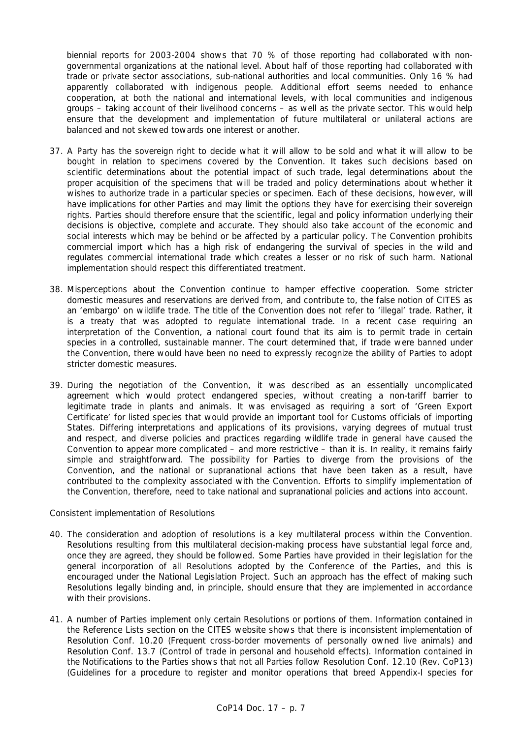biennial reports for 2003-2004 shows that 70 % of those reporting had collaborated with nongovernmental organizations at the national level. About half of those reporting had collaborated with trade or private sector associations, sub-national authorities and local communities. Only 16 % had apparently collaborated with indigenous people. Additional effort seems needed to enhance cooperation, at both the national and international levels, with local communities and indigenous groups – taking account of their livelihood concerns – as well as the private sector. This would help ensure that the development and implementation of future multilateral or unilateral actions are balanced and not skewed towards one interest or another.

- 37. A Party has the sovereign right to decide what it will allow to be sold and what it will allow to be bought in relation to specimens covered by the Convention. It takes such decisions based on scientific determinations about the potential impact of such trade, legal determinations about the proper acquisition of the specimens that will be traded and policy determinations about whether it wishes to authorize trade in a particular species or specimen. Each of these decisions, however, will have implications for other Parties and may limit the options they have for exercising their sovereign rights. Parties should therefore ensure that the scientific, legal and policy information underlying their decisions is objective, complete and accurate. They should also take account of the economic and social interests which may be behind or be affected by a particular policy. The Convention prohibits commercial import which has a high risk of endangering the survival of species in the wild and regulates commercial international trade which creates a lesser or no risk of such harm. National implementation should respect this differentiated treatment.
- 38. Misperceptions about the Convention continue to hamper effective cooperation. Some stricter domestic measures and reservations are derived from, and contribute to, the false notion of CITES as an 'embargo' on wildlife trade. The title of the Convention does not refer to 'illegal' trade. Rather, it is a treaty that was adopted to regulate international trade. In a recent case requiring an interpretation of the Convention, a national court found that its aim is to permit trade in certain species in a controlled, sustainable manner. The court determined that, if trade were banned under the Convention, there would have been no need to expressly recognize the ability of Parties to adopt stricter domestic measures.
- 39. During the negotiation of the Convention, it was described as an essentially uncomplicated agreement which would protect endangered species, without creating a non-tariff barrier to legitimate trade in plants and animals. It was envisaged as requiring a sort of 'Green Export Certificate' for listed species that would provide an important tool for Customs officials of importing States. Differing interpretations and applications of its provisions, varying degrees of mutual trust and respect, and diverse policies and practices regarding wildlife trade in general have caused the Convention to appear more complicated – and more restrictive – than it is. In reality, it remains fairly simple and straightforward. The possibility for Parties to diverge from the provisions of the Convention, and the national or supranational actions that have been taken as a result, have contributed to the complexity associated with the Convention. Efforts to simplify implementation of the Convention, therefore, need to take national and supranational policies and actions into account.

#### *Consistent implementation of Resolutions*

- 40. The consideration and adoption of resolutions is a key multilateral process within the Convention. Resolutions resulting from this multilateral decision-making process have substantial legal force and, once they are agreed, they should be followed. Some Parties have provided in their legislation for the general incorporation of all Resolutions adopted by the Conference of the Parties, and this is encouraged under the National Legislation Project. Such an approach has the effect of making such Resolutions legally binding and, in principle, should ensure that they are implemented in accordance with their provisions.
- 41. A number of Parties implement only certain Resolutions or portions of them. Information contained in the Reference Lists section on the CITES website shows that there is inconsistent implementation of Resolution Conf. 10.20 (Frequent cross-border movements of personally owned live animals) and Resolution Conf. 13.7 (Control of trade in personal and household effects). Information contained in the Notifications to the Parties shows that not all Parties follow Resolution Conf. 12.10 (Rev. CoP13) (Guidelines for a procedure to register and monitor operations that breed Appendix-I species for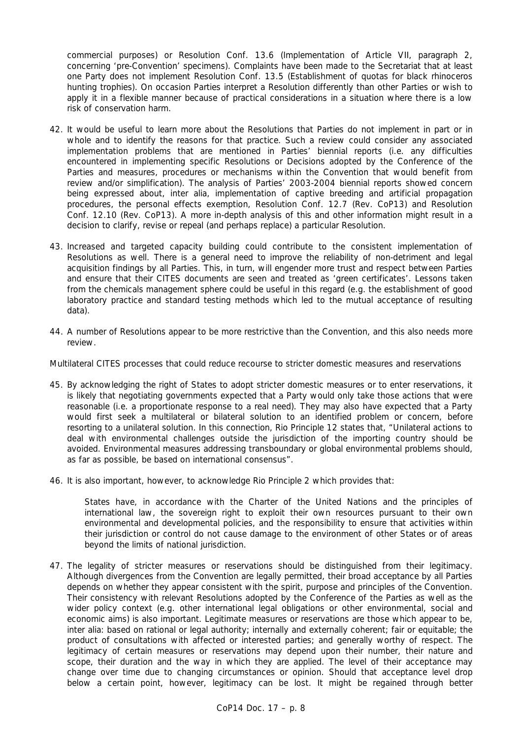commercial purposes) or Resolution Conf. 13.6 (Implementation of Article VII, paragraph 2, concerning 'pre-Convention' specimens). Complaints have been made to the Secretariat that at least one Party does not implement Resolution Conf. 13.5 (Establishment of quotas for black rhinoceros hunting trophies). On occasion Parties interpret a Resolution differently than other Parties or wish to apply it in a flexible manner because of practical considerations in a situation where there is a low risk of conservation harm.

- 42. It would be useful to learn more about the Resolutions that Parties do not implement in part or in whole and to identify the reasons for that practice. Such a review could consider any associated implementation problems that are mentioned in Parties' biennial reports (i.e. any difficulties encountered in implementing specific Resolutions or Decisions adopted by the Conference of the Parties and measures, procedures or mechanisms within the Convention that would benefit from review and/or simplification). The analysis of Parties' 2003-2004 biennial reports showed concern being expressed about, *inter alia*, implementation of captive breeding and artificial propagation procedures, the personal effects exemption, Resolution Conf. 12.7 (Rev. CoP13) and Resolution Conf. 12.10 (Rev. CoP13). A more in-depth analysis of this and other information might result in a decision to clarify, revise or repeal (and perhaps replace) a particular Resolution.
- 43. Increased and targeted capacity building could contribute to the consistent implementation of Resolutions as well. There is a general need to improve the reliability of non-detriment and legal acquisition findings by all Parties. This, in turn, will engender more trust and respect between Parties and ensure that their CITES documents are seen and treated as 'green certificates'. Lessons taken from the chemicals management sphere could be useful in this regard (e.g. the establishment of good laboratory practice and standard testing methods which led to the mutual acceptance of resulting data).
- 44. A number of Resolutions appear to be more restrictive than the Convention, and this also needs more review.

## *Multilateral CITES processes that could reduce recourse to stricter domestic measures and reservations*

- 45. By acknowledging the right of States to adopt stricter domestic measures or to enter reservations, it is likely that negotiating governments expected that a Party would only take those actions that were reasonable (i.e. a proportionate response to a real need). They may also have expected that a Party would first seek a multilateral or bilateral solution to an identified problem or concern, before resorting to a unilateral solution. In this connection, Rio Principle 12 states that, "Unilateral actions to deal with environmental challenges outside the jurisdiction of the importing country should be avoided. Environmental measures addressing transboundary or global environmental problems should, as far as possible, be based on international consensus".
- 46. It is also important, however, to acknowledge Rio Principle 2 which provides that:

*States have, in accordance with the Charter of the United Nations and the principles of international law, the sovereign right to exploit their own resources pursuant to their own environmental and developmental policies, and the responsibility to ensure that activities within their jurisdiction or control do not cause damage to the environment of other States or of areas beyond the limits of national jurisdiction.* 

47. The legality of stricter measures or reservations should be distinguished from their legitimacy. Although divergences from the Convention are legally permitted, their broad acceptance by all Parties depends on whether they appear consistent with the spirit, purpose and principles of the Convention. Their consistency with relevant Resolutions adopted by the Conference of the Parties as well as the wider policy context (e.g. other international legal obligations or other environmental, social and economic aims) is also important. Legitimate measures or reservations are those which appear to be, *inter alia*: based on rational or legal authority; internally and externally coherent; fair or equitable; the product of consultations with affected or interested parties; and generally worthy of respect. The legitimacy of certain measures or reservations may depend upon their number, their nature and scope, their duration and the way in which they are applied. The level of their acceptance may change over time due to changing circumstances or opinion. Should that acceptance level drop below a certain point, however, legitimacy can be lost. It might be regained through better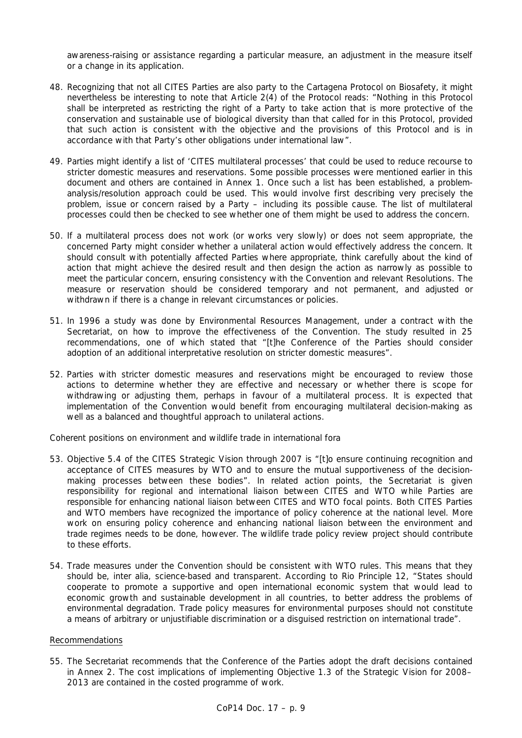awareness-raising or assistance regarding a particular measure, an adjustment in the measure itself or a change in its application.

- 48. Recognizing that not all CITES Parties are also party to the Cartagena Protocol on Biosafety, it might nevertheless be interesting to note that Article 2(4) of the Protocol reads: "Nothing in this Protocol shall be interpreted as restricting the right of a Party to take action that is more protective of the conservation and sustainable use of biological diversity than that called for in this Protocol, provided that such action is consistent with the objective and the provisions of this Protocol and is in accordance with that Party's other obligations under international law".
- 49. Parties might identify a list of 'CITES multilateral processes' that could be used to reduce recourse to stricter domestic measures and reservations. Some possible processes were mentioned earlier in this document and others are contained in Annex 1. Once such a list has been established, a problemanalysis/resolution approach could be used. This would involve first describing very precisely the problem, issue or concern raised by a Party – including its possible cause. The list of multilateral processes could then be checked to see whether one of them might be used to address the concern.
- 50. If a multilateral process does not work (or works very slowly) or does not seem appropriate, the concerned Party might consider whether a unilateral action would effectively address the concern. It should consult with potentially affected Parties where appropriate, think carefully about the kind of action that might achieve the desired result and then design the action as narrowly as possible to meet the particular concern, ensuring consistency with the Convention and relevant Resolutions. The measure or reservation should be considered temporary and not permanent, and adjusted or withdrawn if there is a change in relevant circumstances or policies.
- 51. In 1996 a study was done by Environmental Resources Management, under a contract with the Secretariat, on how to improve the effectiveness of the Convention. The study resulted in 25 recommendations, one of which stated that "[t]he Conference of the Parties should consider adoption of an additional interpretative resolution on stricter domestic measures".
- 52. Parties with stricter domestic measures and reservations might be encouraged to review those actions to determine whether they are effective and necessary or whether there is scope for withdrawing or adjusting them, perhaps in favour of a multilateral process. It is expected that implementation of the Convention would benefit from encouraging multilateral decision-making as well as a balanced and thoughtful approach to unilateral actions.

*Coherent positions on environment and wildlife trade in international fora*

- 53. Objective 5.4 of the CITES Strategic Vision through 2007 is "[t]o ensure continuing recognition and acceptance of CITES measures by WTO and to ensure the mutual supportiveness of the decisionmaking processes between these bodies". In related action points, the Secretariat is given responsibility for regional and international liaison between CITES and WTO while Parties are responsible for enhancing national liaison between CITES and WTO focal points. Both CITES Parties and WTO members have recognized the importance of policy coherence at the national level. More work on ensuring policy coherence and enhancing national liaison between the environment and trade regimes needs to be done, however. The wildlife trade policy review project should contribute to these efforts.
- 54. Trade measures under the Convention should be consistent with WTO rules. This means that they should be, *inter alia*, science-based and transparent. According to Rio Principle 12, "States should cooperate to promote a supportive and open international economic system that would lead to economic growth and sustainable development in all countries, to better address the problems of environmental degradation. Trade policy measures for environmental purposes should not constitute a means of arbitrary or unjustifiable discrimination or a disguised restriction on international trade".

# Recommendations

55. The Secretariat recommends that the Conference of the Parties adopt the draft decisions contained in Annex 2. The cost implications of implementing Objective 1.3 of the Strategic Vision for 2008– 2013 are contained in the costed programme of work.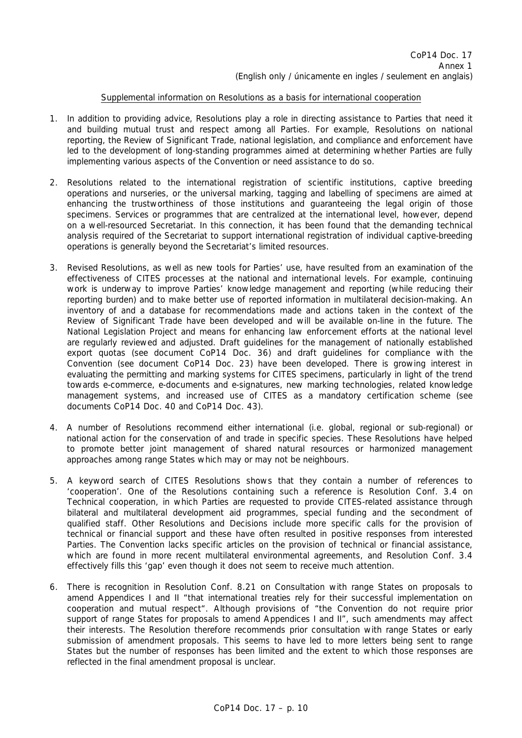## Supplemental information on Resolutions as a basis for international cooperation

- 1. In addition to providing advice, Resolutions play a role in directing assistance to Parties that need it and building mutual trust and respect among all Parties. For example, Resolutions on national reporting, the Review of Significant Trade, national legislation, and compliance and enforcement have led to the development of long-standing programmes aimed at determining whether Parties are fully implementing various aspects of the Convention or need assistance to do so.
- 2. Resolutions related to the international registration of scientific institutions, captive breeding operations and nurseries, or the universal marking, tagging and labelling of specimens are aimed at enhancing the trustworthiness of those institutions and guaranteeing the legal origin of those specimens. Services or programmes that are centralized at the international level, however, depend on a well-resourced Secretariat. In this connection, it has been found that the demanding technical analysis required of the Secretariat to support international registration of individual captive-breeding operations is generally beyond the Secretariat's limited resources.
- 3. Revised Resolutions, as well as new tools for Parties' use, have resulted from an examination of the effectiveness of CITES processes at the national and international levels. For example, continuing work is underway to improve Parties' knowledge management and reporting (while reducing their reporting burden) and to make better use of reported information in multilateral decision-making. An inventory of and a database for recommendations made and actions taken in the context of the Review of Significant Trade have been developed and will be available on-line in the future. The National Legislation Project and means for enhancing law enforcement efforts at the national level are regularly reviewed and adjusted. Draft guidelines for the management of nationally established export quotas (see document CoP14 Doc. 36) and draft guidelines for compliance with the Convention (see document CoP14 Doc. 23) have been developed. There is growing interest in evaluating the permitting and marking systems for CITES specimens, particularly in light of the trend towards e-commerce, e-documents and e-signatures, new marking technologies, related knowledge management systems, and increased use of CITES as a mandatory certification scheme (see documents CoP14 Doc. 40 and CoP14 Doc. 43).
- 4. A number of Resolutions recommend either international (i.e. global, regional or sub-regional) or national action for the conservation of and trade in specific species. These Resolutions have helped to promote better joint management of shared natural resources or harmonized management approaches among range States which may or may not be neighbours.
- 5. A keyword search of CITES Resolutions shows that they contain a number of references to 'cooperation'. One of the Resolutions containing such a reference is Resolution Conf. 3.4 on Technical cooperation, in which Parties are requested to provide CITES-related assistance through bilateral and multilateral development aid programmes, special funding and the secondment of qualified staff. Other Resolutions and Decisions include more specific calls for the provision of technical or financial support and these have often resulted in positive responses from interested Parties. The Convention lacks specific articles on the provision of technical or financial assistance, which are found in more recent multilateral environmental agreements, and Resolution Conf. 3.4 effectively fills this 'gap' even though it does not seem to receive much attention.
- 6. There is recognition in Resolution Conf. 8.21 on Consultation with range States on proposals to amend Appendices I and II "that international treaties rely for their successful implementation on cooperation and mutual respect". Although provisions of "the Convention do not require prior support of range States for proposals to amend Appendices I and II", such amendments may affect their interests. The Resolution therefore recommends prior consultation with range States or early submission of amendment proposals. This seems to have led to more letters being sent to range States but the number of responses has been limited and the extent to which those responses are reflected in the final amendment proposal is unclear.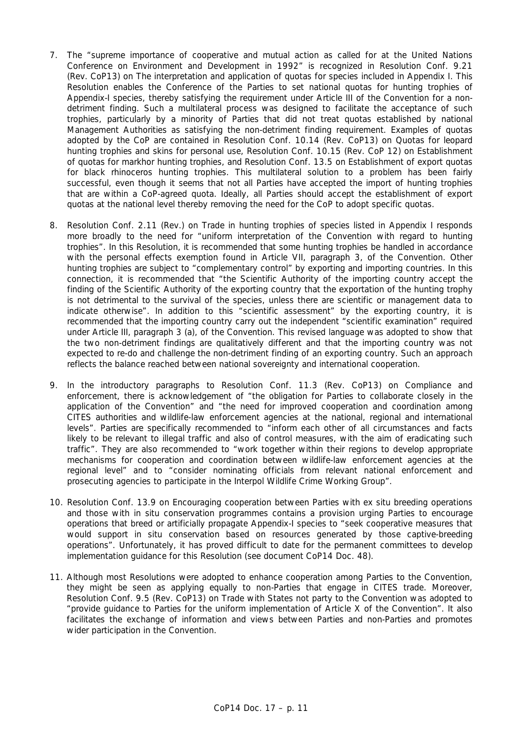- 7. The "supreme importance of cooperative and mutual action as called for at the United Nations Conference on Environment and Development in 1992" is recognized in Resolution Conf. 9.21 (Rev. CoP13) on The interpretation and application of quotas for species included in Appendix I. This Resolution enables the Conference of the Parties to set national quotas for hunting trophies of Appendix-I species, thereby satisfying the requirement under Article III of the Convention for a nondetriment finding. Such a multilateral process was designed to facilitate the acceptance of such trophies, particularly by a minority of Parties that did not treat quotas established by national Management Authorities as satisfying the non-detriment finding requirement. Examples of quotas adopted by the CoP are contained in Resolution Conf. 10.14 (Rev. CoP13) on Quotas for leopard hunting trophies and skins for personal use, Resolution Conf. 10.15 (Rev. CoP 12) on Establishment of quotas for markhor hunting trophies, and Resolution Conf. 13.5 on Establishment of export quotas for black rhinoceros hunting trophies. This multilateral solution to a problem has been fairly successful, even though it seems that not all Parties have accepted the import of hunting trophies that are within a CoP-agreed quota. Ideally, all Parties should accept the establishment of export quotas at the national level thereby removing the need for the CoP to adopt specific quotas.
- 8. Resolution Conf. 2.11 (Rev.) on Trade in hunting trophies of species listed in Appendix I responds more broadly to the need for "uniform interpretation of the Convention with regard to hunting trophies". In this Resolution, it is recommended that some hunting trophies be handled in accordance with the personal effects exemption found in Article VII, paragraph 3, of the Convention. Other hunting trophies are subject to "complementary control" by exporting and importing countries. In this connection, it is recommended that "the Scientific Authority of the importing country accept the finding of the Scientific Authority of the exporting country that the exportation of the hunting trophy is not detrimental to the survival of the species, unless there are scientific or management data to indicate otherwise". In addition to this "scientific assessment" by the exporting country, it is recommended that the importing country carry out the independent "scientific examination" required under Article III, paragraph 3 (a), of the Convention. This revised language was adopted to show that the two non-detriment findings are qualitatively different and that the importing country was not expected to re-do and challenge the non-detriment finding of an exporting country. Such an approach reflects the balance reached between national sovereignty and international cooperation.
- 9. In the introductory paragraphs to Resolution Conf. 11.3 (Rev. CoP13) on Compliance and enforcement, there is acknowledgement of "the obligation for Parties to collaborate closely in the application of the Convention" and "the need for improved cooperation and coordination among CITES authorities and wildlife-law enforcement agencies at the national, regional and international levels". Parties are specifically recommended to "inform each other of all circumstances and facts likely to be relevant to illegal traffic and also of control measures, with the aim of eradicating such traffic". They are also recommended to "work together within their regions to develop appropriate mechanisms for cooperation and coordination between wildlife-law enforcement agencies at the regional level" and to "consider nominating officials from relevant national enforcement and prosecuting agencies to participate in the Interpol Wildlife Crime Working Group".
- 10. Resolution Conf. 13.9 on Encouraging cooperation between Parties with *ex situ* breeding operations and those with *in situ* conservation programmes contains a provision urging Parties to encourage operations that breed or artificially propagate Appendix-I species to "seek cooperative measures that would support *in situ* conservation based on resources generated by those captive-breeding operations". Unfortunately, it has proved difficult to date for the permanent committees to develop implementation guidance for this Resolution (see document CoP14 Doc. 48).
- 11. Although most Resolutions were adopted to enhance cooperation among Parties to the Convention, they might be seen as applying equally to non-Parties that engage in CITES trade. Moreover, Resolution Conf. 9.5 (Rev. CoP13) on Trade with States not party to the Convention was adopted to "provide guidance to Parties for the uniform implementation of Article X of the Convention". It also facilitates the exchange of information and views between Parties and non-Parties and promotes wider participation in the Convention.